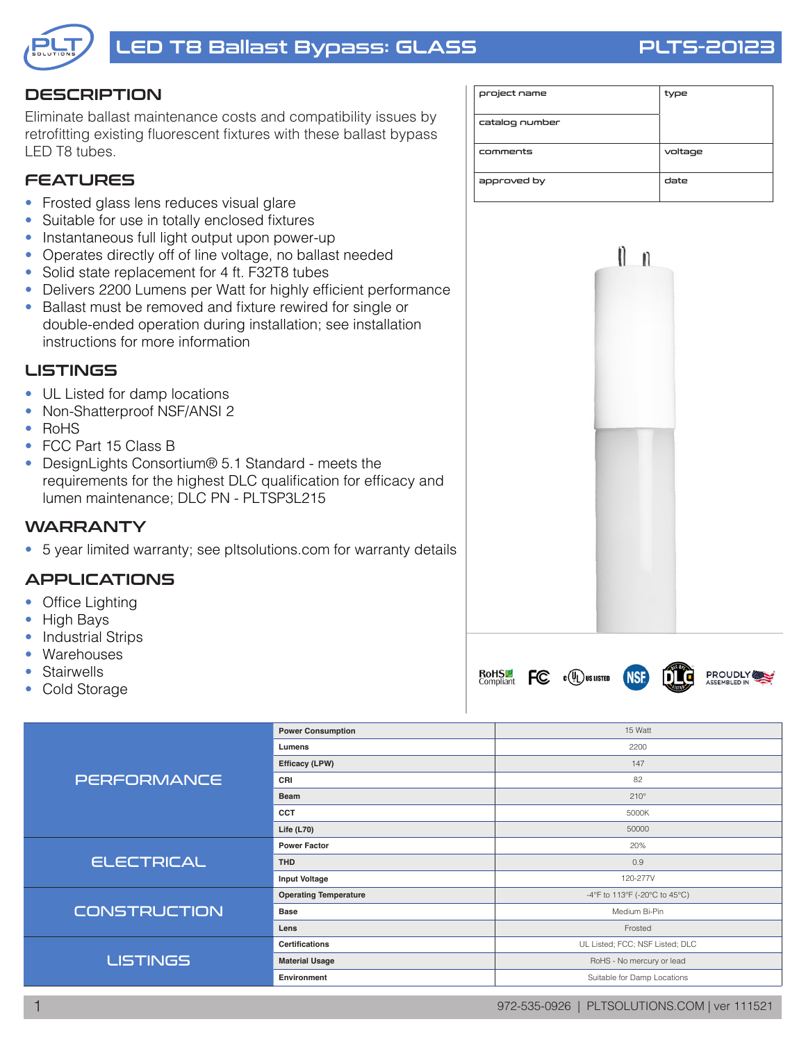

# LED T8 Ballast Bypass: GLASS PLTS-20123

#### **DESCRIPTION**

Eliminate ballast maintenance costs and compatibility issues by retrofitting existing fluorescent fixtures with these ballast bypass LED T8 tubes.

### **FEATURES**

- Frosted glass lens reduces visual glare
- Suitable for use in totally enclosed fixtures
- Instantaneous full light output upon power-up
- Operates directly off of line voltage, no ballast needed
- Solid state replacement for 4 ft. F32T8 tubes
- Delivers 2200 Lumens per Watt for highly efficient performance
- Ballast must be removed and fixture rewired for single or double-ended operation during installation; see installation instructions for more information

#### **LISTINGS**

- UL Listed for damp locations
- Non-Shatterproof NSF/ANSI 2
- RoHS
- FCC Part 15 Class B
- DesignLights Consortium® 5.1 Standard meets the requirements for the highest DLC qualification for efficacy and lumen maintenance; DLC PN - PLTSP3L215

#### **WARRANTY**

• 5 year limited warranty; see pltsolutions.com for warranty details

#### APPLICATIONS

- Office Lighting
- High Bays
- Industrial Strips
- Warehouses
- **Stairwells**
- Cold Storage

| <b>PERFORMANCE</b>  | <b>Power Consumption</b>     | 15 Watt                         |  |  |  |  |
|---------------------|------------------------------|---------------------------------|--|--|--|--|
|                     | Lumens                       | 2200                            |  |  |  |  |
|                     | Efficacy (LPW)               | 147                             |  |  |  |  |
|                     | CRI                          | 82                              |  |  |  |  |
|                     | <b>Beam</b>                  | $210^\circ$                     |  |  |  |  |
|                     | CCT                          | 5000K                           |  |  |  |  |
|                     | Life $(L70)$                 | 50000                           |  |  |  |  |
| <b>ELECTRICAL</b>   | <b>Power Factor</b>          | 20%                             |  |  |  |  |
|                     | <b>THD</b>                   | 0.9                             |  |  |  |  |
|                     | <b>Input Voltage</b>         | 120-277V                        |  |  |  |  |
| <b>CONSTRUCTION</b> | <b>Operating Temperature</b> | -4°F to 113°F (-20°C to 45°C)   |  |  |  |  |
|                     | <b>Base</b>                  | Medium Bi-Pin                   |  |  |  |  |
|                     | Lens                         | Frosted                         |  |  |  |  |
| <b>LISTINGS</b>     | <b>Certifications</b>        | UL Listed; FCC; NSF Listed; DLC |  |  |  |  |
|                     | <b>Material Usage</b>        | RoHS - No mercury or lead       |  |  |  |  |
|                     | Environment                  | Suitable for Damp Locations     |  |  |  |  |

| project name   | type    |
|----------------|---------|
| catalog number |         |
| comments       | voltage |
| approved by    | date    |